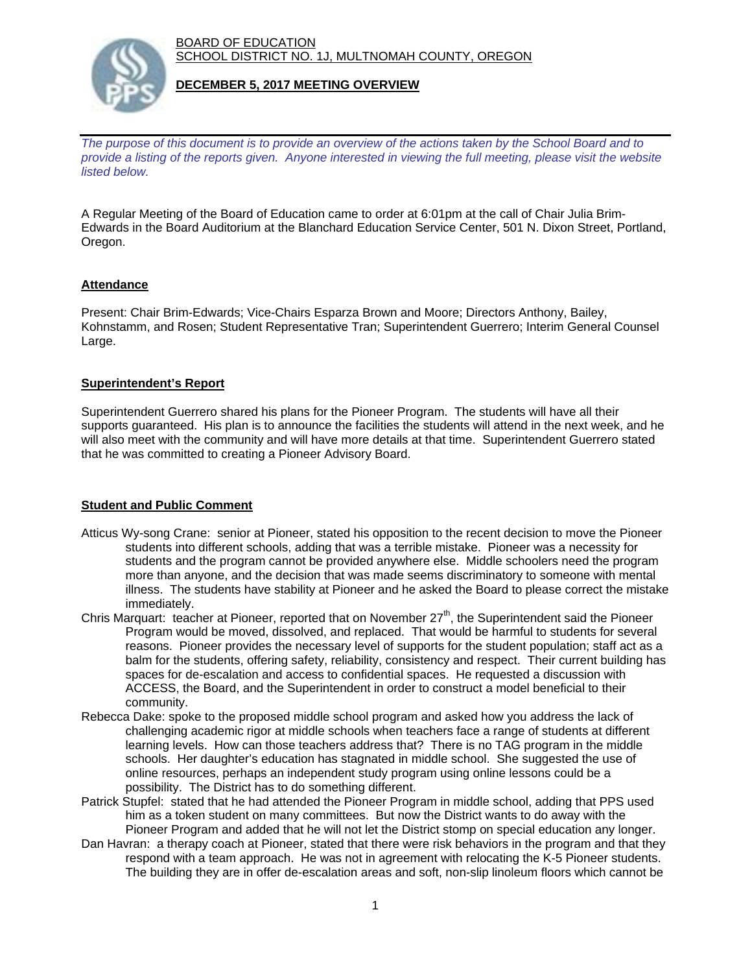BOARD OF EDUCATION SCHOOL DISTRICT NO. 1J, MULTNOMAH COUNTY, OREGON



### **DECEMBER 5, 2017 MEETING OVERVIEW**

*The purpose of this document is to provide an overview of the actions taken by the School Board and to provide a listing of the reports given. Anyone interested in viewing the full meeting, please visit the website listed below.*

A Regular Meeting of the Board of Education came to order at 6:01pm at the call of Chair Julia Brim-Edwards in the Board Auditorium at the Blanchard Education Service Center, 501 N. Dixon Street, Portland, Oregon.

# **Attendance**

Present: Chair Brim-Edwards; Vice-Chairs Esparza Brown and Moore; Directors Anthony, Bailey, Kohnstamm, and Rosen; Student Representative Tran; Superintendent Guerrero; Interim General Counsel Large.

### **Superintendent's Report**

Superintendent Guerrero shared his plans for the Pioneer Program. The students will have all their supports guaranteed. His plan is to announce the facilities the students will attend in the next week, and he will also meet with the community and will have more details at that time. Superintendent Guerrero stated that he was committed to creating a Pioneer Advisory Board.

# **Student and Public Comment**

- Atticus Wy-song Crane: senior at Pioneer, stated his opposition to the recent decision to move the Pioneer students into different schools, adding that was a terrible mistake. Pioneer was a necessity for students and the program cannot be provided anywhere else. Middle schoolers need the program more than anyone, and the decision that was made seems discriminatory to someone with mental illness. The students have stability at Pioneer and he asked the Board to please correct the mistake immediately.
- Chris Marquart: teacher at Pioneer, reported that on November  $27<sup>th</sup>$ , the Superintendent said the Pioneer Program would be moved, dissolved, and replaced. That would be harmful to students for several reasons. Pioneer provides the necessary level of supports for the student population; staff act as a balm for the students, offering safety, reliability, consistency and respect. Their current building has spaces for de-escalation and access to confidential spaces. He requested a discussion with ACCESS, the Board, and the Superintendent in order to construct a model beneficial to their community.
- Rebecca Dake: spoke to the proposed middle school program and asked how you address the lack of challenging academic rigor at middle schools when teachers face a range of students at different learning levels. How can those teachers address that? There is no TAG program in the middle schools. Her daughter's education has stagnated in middle school. She suggested the use of online resources, perhaps an independent study program using online lessons could be a possibility. The District has to do something different.
- Patrick Stupfel: stated that he had attended the Pioneer Program in middle school, adding that PPS used him as a token student on many committees. But now the District wants to do away with the Pioneer Program and added that he will not let the District stomp on special education any longer.
- Dan Havran: a therapy coach at Pioneer, stated that there were risk behaviors in the program and that they respond with a team approach. He was not in agreement with relocating the K-5 Pioneer students. The building they are in offer de-escalation areas and soft, non-slip linoleum floors which cannot be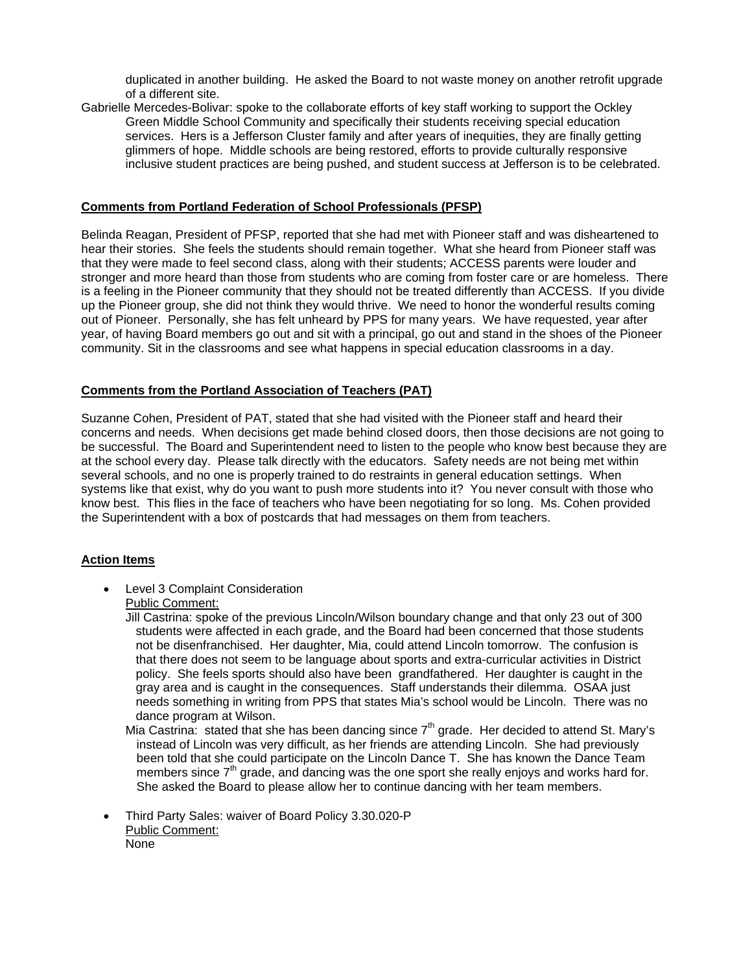duplicated in another building. He asked the Board to not waste money on another retrofit upgrade of a different site.

Gabrielle Mercedes-Bolivar: spoke to the collaborate efforts of key staff working to support the Ockley Green Middle School Community and specifically their students receiving special education services. Hers is a Jefferson Cluster family and after years of inequities, they are finally getting glimmers of hope. Middle schools are being restored, efforts to provide culturally responsive inclusive student practices are being pushed, and student success at Jefferson is to be celebrated.

#### **Comments from Portland Federation of School Professionals (PFSP)**

Belinda Reagan, President of PFSP, reported that she had met with Pioneer staff and was disheartened to hear their stories. She feels the students should remain together. What she heard from Pioneer staff was that they were made to feel second class, along with their students; ACCESS parents were louder and stronger and more heard than those from students who are coming from foster care or are homeless. There is a feeling in the Pioneer community that they should not be treated differently than ACCESS. If you divide up the Pioneer group, she did not think they would thrive. We need to honor the wonderful results coming out of Pioneer. Personally, she has felt unheard by PPS for many years. We have requested, year after year, of having Board members go out and sit with a principal, go out and stand in the shoes of the Pioneer community. Sit in the classrooms and see what happens in special education classrooms in a day.

### **Comments from the Portland Association of Teachers (PAT)**

Suzanne Cohen, President of PAT, stated that she had visited with the Pioneer staff and heard their concerns and needs. When decisions get made behind closed doors, then those decisions are not going to be successful. The Board and Superintendent need to listen to the people who know best because they are at the school every day. Please talk directly with the educators. Safety needs are not being met within several schools, and no one is properly trained to do restraints in general education settings. When systems like that exist, why do you want to push more students into it? You never consult with those who know best. This flies in the face of teachers who have been negotiating for so long. Ms. Cohen provided the Superintendent with a box of postcards that had messages on them from teachers.

#### **Action Items**

 Level 3 Complaint Consideration Public Comment:

> Jill Castrina: spoke of the previous Lincoln/Wilson boundary change and that only 23 out of 300 students were affected in each grade, and the Board had been concerned that those students not be disenfranchised. Her daughter, Mia, could attend Lincoln tomorrow. The confusion is that there does not seem to be language about sports and extra-curricular activities in District policy. She feels sports should also have been grandfathered. Her daughter is caught in the gray area and is caught in the consequences. Staff understands their dilemma. OSAA just needs something in writing from PPS that states Mia's school would be Lincoln. There was no dance program at Wilson.

Mia Castrina: stated that she has been dancing since  $7<sup>th</sup>$  grade. Her decided to attend St. Mary's instead of Lincoln was very difficult, as her friends are attending Lincoln. She had previously been told that she could participate on the Lincoln Dance T. She has known the Dance Team members since  $7<sup>th</sup>$  grade, and dancing was the one sport she really enjoys and works hard for. She asked the Board to please allow her to continue dancing with her team members.

 Third Party Sales: waiver of Board Policy 3.30.020-P Public Comment: None